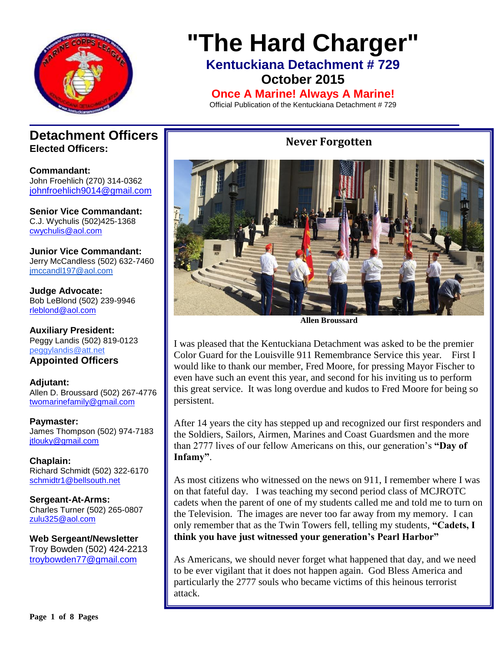

# **"The Hard Charger"**

**Kentuckiana Detachment # 729**

**October 2015**

**Once A Marine! Always A Marine!**

Official Publication of the Kentuckiana Detachment # 729

### **Detachment Officers Elected Officers:**

**Commandant:**  John Froehlich (270) 314-0362 [johnfroehlich9014@gmail.com](file:///C:/Allen%20Broussard/Downloads/johnfroehlich9014@gmail.com)

**Senior Vice Commandant:** C.J. Wychulis (502)425-1368 cwychulis@aol.com

**Junior Vice Commandant:** Jerry McCandless (502) 632-7460 [jmccandl197@aol.com](mailto:jmccandl197@aol.com)

**Judge Advocate:** Bob LeBlond (502) 239-9946 rleblond@aol.com

**Auxiliary President:** Peggy Landis (502) 819-0123 peggylandis@att.net

**Appointed Officers**

**Adjutant:** Allen D. Broussard (502) 267-4776 [twomarinefamily@gmail.com](https://commcenter.insightbb.com/attach/2006/broussard.marines@insightbb.com)

**Paymaster:** James Thompson (502) 974-7183 [jtlouky@gmail.com](mailto:jtlouky@gmail.com)

**Chaplain:** Richard Schmidt (502) 322-6170 [schmidtr1@bellsouth.net](mailto:Alusmc75@gmail.com)

**Sergeant-At-Arms:** Charles Turner (502) 265-0807 [zulu325@aol.com](file:///C:/Allen%20Broussard/Downloads/zulu325@aol.com)

**Web Sergeant/Newsletter** Troy Bowden (502) 424-2213 troybowden77@gmail.com

## **Never Forgotten**



**Allen Broussard**

I was pleased that the Kentuckiana Detachment was asked to be the premier Color Guard for the Louisville 911 Remembrance Service this year. First I would like to thank our member, Fred Moore, for pressing Mayor Fischer to even have such an event this year, and second for his inviting us to perform this great service. It was long overdue and kudos to Fred Moore for being so persistent.

After 14 years the city has stepped up and recognized our first responders and the Soldiers, Sailors, Airmen, Marines and Coast Guardsmen and the more than 2777 lives of our fellow Americans on this, our generation's **"Day of Infamy"**.

As most citizens who witnessed on the news on 911, I remember where I was on that fateful day. I was teaching my second period class of MCJROTC cadets when the parent of one of my students called me and told me to turn on the Television. The images are never too far away from my memory. I can only remember that as the Twin Towers fell, telling my students, **"Cadets, I think you have just witnessed your generation's Pearl Harbor"**

As Americans, we should never forget what happened that day, and we need to be ever vigilant that it does not happen again. God Bless America and particularly the 2777 souls who became victims of this heinous terrorist attack.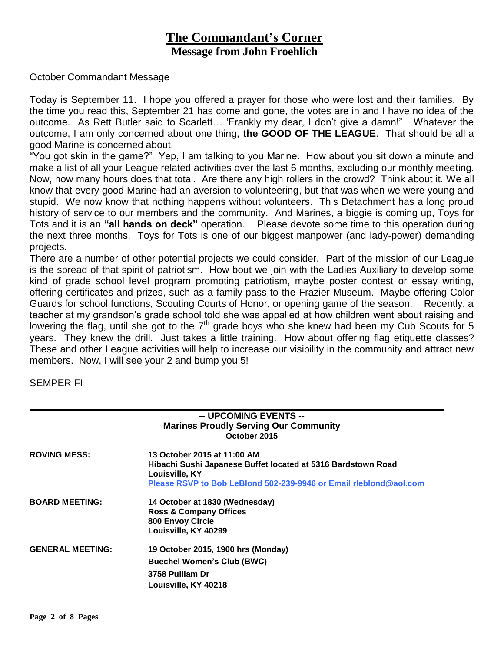## **The Commandant's Corner Message from John Froehlich**

#### October Commandant Message

Today is September 11. I hope you offered a prayer for those who were lost and their families. By the time you read this, September 21 has come and gone, the votes are in and I have no idea of the outcome. As Rett Butler said to Scarlett… 'Frankly my dear, I don't give a damn!" Whatever the outcome, I am only concerned about one thing, **the GOOD OF THE LEAGUE**. That should be all a good Marine is concerned about.

"You got skin in the game?" Yep, I am talking to you Marine. How about you sit down a minute and make a list of all your League related activities over the last 6 months, excluding our monthly meeting. Now, how many hours does that total. Are there any high rollers in the crowd? Think about it. We all know that every good Marine had an aversion to volunteering, but that was when we were young and stupid. We now know that nothing happens without volunteers. This Detachment has a long proud history of service to our members and the community. And Marines, a biggie is coming up, Toys for Tots and it is an **"all hands on deck"** operation. Please devote some time to this operation during the next three months. Toys for Tots is one of our biggest manpower (and lady-power) demanding projects.

There are a number of other potential projects we could consider. Part of the mission of our League is the spread of that spirit of patriotism. How bout we join with the Ladies Auxiliary to develop some kind of grade school level program promoting patriotism, maybe poster contest or essay writing, offering certificates and prizes, such as a family pass to the Frazier Museum. Maybe offering Color Guards for school functions, Scouting Courts of Honor, or opening game of the season. Recently, a teacher at my grandson's grade school told she was appalled at how children went about raising and lowering the flag, until she got to the  $7<sup>th</sup>$  grade boys who she knew had been my Cub Scouts for 5 years. They knew the drill. Just takes a little training. How about offering flag etiquette classes? These and other League activities will help to increase our visibility in the community and attract new members. Now, I will see your 2 and bump you 5!

SEMPER FI

|                         | -- UPCOMING EVENTS --<br><b>Marines Proudly Serving Our Community</b><br>October 2015                              |  |
|-------------------------|--------------------------------------------------------------------------------------------------------------------|--|
| <b>ROVING MESS:</b>     | 13 October 2015 at 11:00 AM<br>Hibachi Sushi Japanese Buffet located at 5316 Bardstown Road<br>Louisville, KY      |  |
|                         | Please RSVP to Bob LeBlond 502-239-9946 or Email rleblond@aol.com                                                  |  |
| <b>BOARD MEETING:</b>   | 14 October at 1830 (Wednesday)<br><b>Ross &amp; Company Offices</b><br>800 Envoy Circle<br>Louisville, KY 40299    |  |
| <b>GENERAL MEETING:</b> | 19 October 2015, 1900 hrs (Monday)<br><b>Buechel Women's Club (BWC)</b><br>3758 Pulliam Dr<br>Louisville, KY 40218 |  |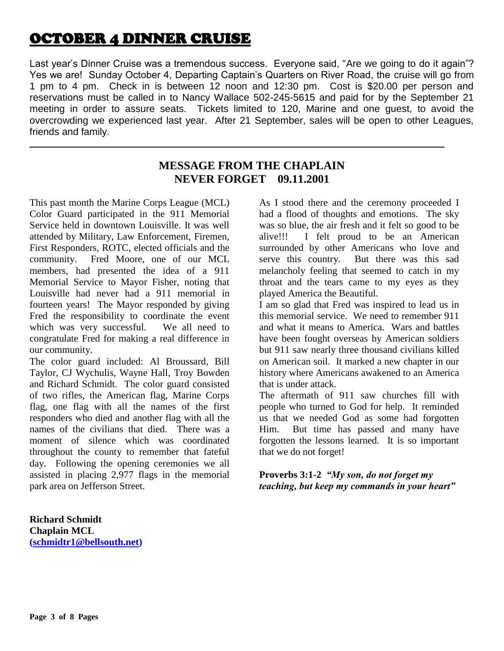# OCTOBER 4 DINNER CRUISE

Last year's Dinner Cruise was a tremendous success. Everyone said, "Are we going to do it again"? Yes we are! Sunday October 4, Departing Captain's Quarters on River Road, the cruise will go from 1 pm to 4 pm. Check in is between 12 noon and 12:30 pm. Cost is \$20.00 per person and reservations must be called in to Nancy Wallace 502-245-5615 and paid for by the September 21 meeting in order to assure seats. Tickets limited to 120, Marine and one guest, to avoid the overcrowding we experienced last year. After 21 September, sales will be open to other Leagues, friends and family.

### **MESSAGE FROM THE CHAPLAIN NEVER FORGET 09.11.2001**

This past month the Marine Corps League (MCL) Color Guard participated in the 911 Memorial Service held in downtown Louisville. It was well attended by Military, Law Enforcement, Firemen, First Responders, ROTC, elected officials and the community. Fred Moore, one of our MCL members, had presented the idea of a 911 Memorial Service to Mayor Fisher, noting that Louisville had never had a 911 memorial in fourteen years! The Mayor responded by giving Fred the responsibility to coordinate the event which was very successful. We all need to congratulate Fred for making a real difference in our community.

The color guard included: Al Broussard, Bill Taylor, CJ Wychulis, Wayne Hall, Troy Bowden and Richard Schmidt. The color guard consisted of two rifles, the American flag, Marine Corps flag, one flag with all the names of the first responders who died and another flag with all the names of the civilians that died. There was a moment of silence which was coordinated throughout the county to remember that fateful day. Following the opening ceremonies we all assisted in placing 2,977 flags in the memorial park area on Jefferson Street.

**Richard Schmidt Chaplain MCL [\(schmidtr1@bellsouth.net\)](mailto:schmidtr1@bellsouth.net)** As I stood there and the ceremony proceeded I had a flood of thoughts and emotions. The sky was so blue, the air fresh and it felt so good to be alive!!! I felt proud to be an American surrounded by other Americans who love and serve this country. But there was this sad melancholy feeling that seemed to catch in my throat and the tears came to my eyes as they played America the Beautiful.

I am so glad that Fred was inspired to lead us in this memorial service. We need to remember 911 and what it means to America. Wars and battles have been fought overseas by American soldiers but 911 saw nearly three thousand civilians killed on American soil. It marked a new chapter in our history where Americans awakened to an America that is under attack.

The aftermath of 911 saw churches fill with people who turned to God for help. It reminded us that we needed God as some had forgotten Him. But time has passed and many have forgotten the lessons learned. It is so important that we do not forget!

**Proverbs 3:1-2** *"My son, do not forget my teaching, but keep my commands in your heart"*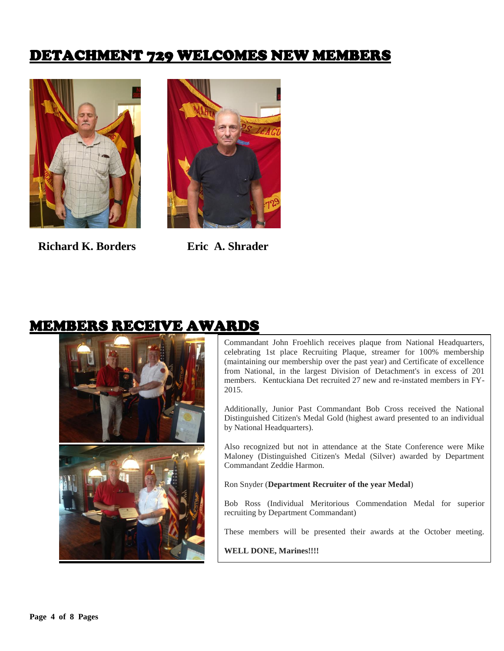# DETACHMENT 729 WELCOMES NEW MEMBERS



 **Richard K. Borders****Eric A. Shrader** 



# MEMBERS RECEIVE AWARDS



Commandant John Froehlich receives plaque from National Headquarters, celebrating 1st place Recruiting Plaque, streamer for 100% membership (maintaining our membership over the past year) and Certificate of excellence from National, in the largest Division of Detachment's in excess of 201 members. Kentuckiana Det recruited 27 new and re-instated members in FY-2015.

Additionally, Junior Past Commandant Bob Cross received the National Distinguished Citizen's Medal Gold (highest award presented to an individual by National Headquarters).

Also recognized but not in attendance at the State Conference were Mike Maloney (Distinguished Citizen's Medal (Silver) awarded by Department Commandant Zeddie Harmon.

Ron Snyder (**Department Recruiter of the year Medal**)

Bob Ross (Individual Meritorious Commendation Medal for superior recruiting by Department Commandant)

These members will be presented their awards at the October meeting.

**WELL DONE, Marines!!!!**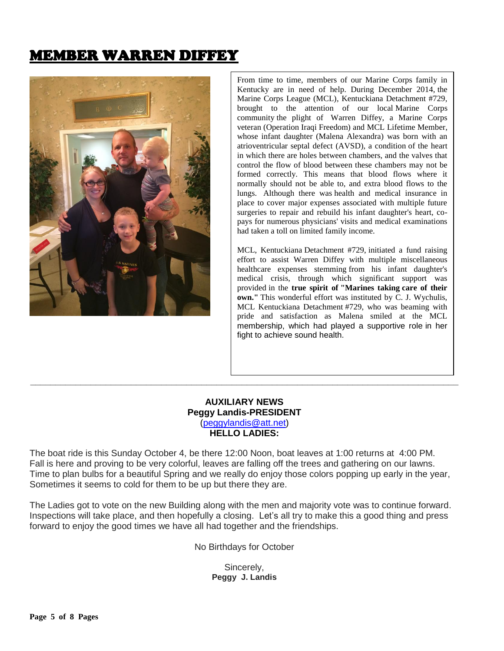# MEMBER WARREN DIFFEY



From time to time, members of our Marine Corps family in Kentucky are in need of help. During December 2014, the Marine Corps League (MCL), Kentuckiana Detachment #729, brought to the attention of our local Marine Corps community the plight of Warren Diffey, a Marine Corps veteran (Operation Iraqi Freedom) and MCL Lifetime Member, whose infant daughter (Malena Alexandra) was born with an atrioventricular septal defect (AVSD), a condition of the heart in which there are holes between chambers, and the valves that control the flow of blood between these chambers may not be formed correctly. This means that blood flows where it normally should not be able to, and extra blood flows to the lungs. Although there was health and medical insurance in place to cover major expenses associated with multiple future surgeries to repair and rebuild his infant daughter's heart, copays for numerous physicians' visits and medical examinations had taken a toll on limited family income.

MCL, Kentuckiana Detachment #729, initiated a fund raising effort to assist Warren Diffey with multiple miscellaneous healthcare expenses stemming from his infant daughter's medical crisis, through which significant support was provided in the **true spirit of "Marines taking care of their own."** This wonderful effort was instituted by C. J. Wychulis, MCL Kentuckiana Detachment #729, who was beaming with pride and satisfaction as Malena smiled at the MCL membership, which had played a supportive role in her fight to achieve sound health.

#### **AUXILIARY NEWS Peggy Landis-PRESIDENT** [\(peggylandis@att.net\)](file:///C:/Users/Bob/AppData/Local/Microsoft/Windows/Temporary%20Internet%20Files/Content.IE5/E9IEDDJK/peggylandis@att.net) **HELLO LADIES:**

**\_\_\_\_\_\_\_\_\_\_\_\_\_\_\_\_\_\_\_\_\_\_\_\_\_\_\_\_\_\_\_\_\_\_\_\_\_\_\_\_\_\_\_\_\_\_\_\_\_\_\_\_\_\_\_\_\_\_\_\_\_\_\_\_\_\_\_\_\_\_\_\_\_\_\_\_\_\_\_\_\_\_\_\_\_**

The boat ride is this Sunday October 4, be there 12:00 Noon, boat leaves at 1:00 returns at 4:00 PM. Fall is here and proving to be very colorful, leaves are falling off the trees and gathering on our lawns. Time to plan bulbs for a beautiful Spring and we really do enjoy those colors popping up early in the year, Sometimes it seems to cold for them to be up but there they are.

The Ladies got to vote on the new Building along with the men and majority vote was to continue forward. Inspections will take place, and then hopefully a closing. Let's all try to make this a good thing and press forward to enjoy the good times we have all had together and the friendships.

No Birthdays for October

Sincerely, **Peggy J. Landis**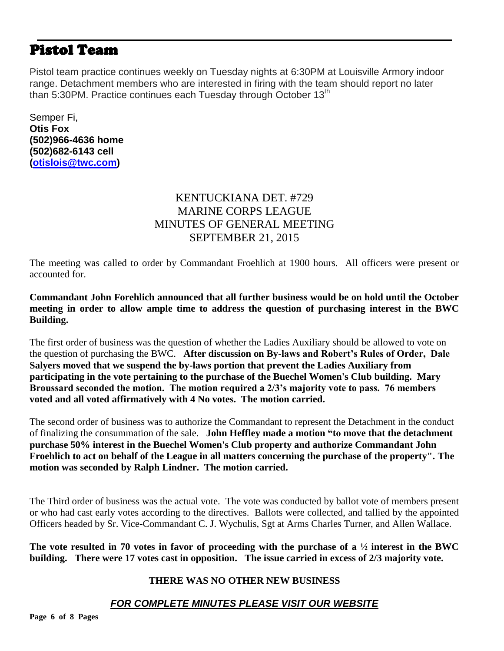# Pistol Team

Pistol team practice continues weekly on Tuesday nights at 6:30PM at Louisville Armory indoor range. Detachment members who are interested in firing with the team should report no later than 5:30PM. Practice continues each Tuesday through October 13<sup>th</sup>

Semper Fi, **Otis Fox (502)966-4636 home (502)682-6143 cell [\(otislois@twc.com\)](mailto:otislois@twc.com)**

## KENTUCKIANA DET. #729 MARINE CORPS LEAGUE MINUTES OF GENERAL MEETING SEPTEMBER 21, 2015

The meeting was called to order by Commandant Froehlich at 1900 hours. All officers were present or accounted for.

**Commandant John Forehlich announced that all further business would be on hold until the October meeting in order to allow ample time to address the question of purchasing interest in the BWC Building.** 

The first order of business was the question of whether the Ladies Auxiliary should be allowed to vote on the question of purchasing the BWC. **After discussion on By-laws and Robert's Rules of Order, Dale Salyers moved that we suspend the by-laws portion that prevent the Ladies Auxiliary from participating in the vote pertaining to the purchase of the Buechel Women's Club building. Mary Broussard seconded the motion. The motion required a 2/3's majority vote to pass. 76 members voted and all voted affirmatively with 4 No votes. The motion carried.**

The second order of business was to authorize the Commandant to represent the Detachment in the conduct of finalizing the consummation of the sale. **John Heffley made a motion "to move that the detachment purchase 50% interest in the Buechel Women's Club property and authorize Commandant John Froehlich to act on behalf of the League in all matters concerning the purchase of the property". The motion was seconded by Ralph Lindner. The motion carried.**

The Third order of business was the actual vote. The vote was conducted by ballot vote of members present or who had cast early votes according to the directives. Ballots were collected, and tallied by the appointed Officers headed by Sr. Vice-Commandant C. J. Wychulis, Sgt at Arms Charles Turner, and Allen Wallace.

**The vote resulted in 70 votes in favor of proceeding with the purchase of a ½ interest in the BWC building. There were 17 votes cast in opposition. The issue carried in excess of 2/3 majority vote.** 

#### **THERE WAS NO OTHER NEW BUSINESS**

### *FOR COMPLETE MINUTES PLEASE VISIT OUR WEBSITE*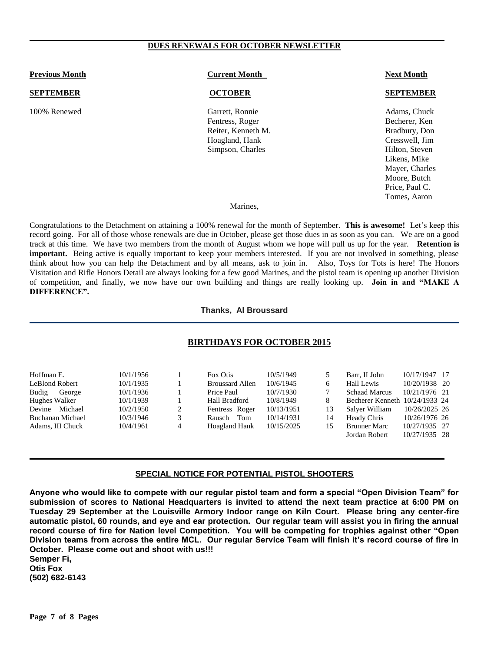#### **DUES RENEWALS FOR OCTOBER NEWSLETTER**

| <b>Previous Month</b> | <b>Current Month</b>                                                                           | <b>Next Month</b>                                                                                                                    |  |  |
|-----------------------|------------------------------------------------------------------------------------------------|--------------------------------------------------------------------------------------------------------------------------------------|--|--|
| <b>SEPTEMBER</b>      | <b>OCTOBER</b>                                                                                 | <b>SEPTEMBER</b>                                                                                                                     |  |  |
| 100% Renewed          | Garrett, Ronnie<br>Fentress, Roger<br>Reiter, Kenneth M.<br>Hoagland, Hank<br>Simpson, Charles | Adams, Chuck<br>Becherer, Ken<br>Bradbury, Don<br>Cresswell, Jim<br>Hilton, Steven<br>Likens, Mike<br>Mayer, Charles<br>Moore, Butch |  |  |

#### Marines,

Price, Paul C. Tomes, Aaron

Congratulations to the Detachment on attaining a 100% renewal for the month of September. **This is awesome!** Let's keep this record going. For all of those whose renewals are due in October, please get those dues in as soon as you can. We are on a good track at this time. We have two members from the month of August whom we hope will pull us up for the year. **Retention is important.** Being active is equally important to keep your members interested. If you are not involved in something, please think about how you can help the Detachment and by all means, ask to join in. Also, Toys for Tots is here! The Honors Visitation and Rifle Honors Detail are always looking for a few good Marines, and the pistol team is opening up another Division of competition, and finally, we now have our own building and things are really looking up. **Join in and "MAKE A DIFFERENCE".** 

**Thanks, Al Broussard**

#### **BIRTHDAYS FOR OCTOBER 2015**

| 10/1/1956 |   | Fox Otis               | 10/5/1949  |    | Barr. II John                  | 10/17/1947 17 |
|-----------|---|------------------------|------------|----|--------------------------------|---------------|
| 10/1/1935 |   | <b>Broussard Allen</b> | 10/6/1945  |    | Hall Lewis                     | 10/20/1938 20 |
| 10/1/1936 |   | Price Paul             | 10/7/1930  |    | <b>Schaad Marcus</b>           | 10/21/1976 21 |
| 10/1/1939 |   | Hall Bradford          | 10/8/1949  |    | Becherer Kenneth 10/24/1933 24 |               |
| 10/2/1950 | 2 | Fentress Roger         | 10/13/1951 | 13 | Salver William                 | 10/26/2025 26 |
| 10/3/1946 | 3 | Tom<br>Rausch          | 10/14/1931 | 14 | Heady Chris                    | 10/26/1976 26 |
| 10/4/1961 | 4 | Hoagland Hank          | 10/15/2025 | 15 | <b>Brunner Marc</b>            | 10/27/1935 27 |
|           |   |                        |            |    | Jordan Robert                  | 10/27/1935 28 |
|           |   |                        |            |    |                                |               |

#### **SPECIAL NOTICE FOR POTENTIAL PISTOL SHOOTERS**

**Anyone who would like to compete with our regular pistol team and form a special "Open Division Team" for submission of scores to National Headquarters is invited to attend the next team practice at 6:00 PM on Tuesday 29 September at the Louisville Armory Indoor range on Kiln Court. Please bring any center-fire automatic pistol, 60 rounds, and eye and ear protection. Our regular team will assist you in firing the annual record course of fire for Nation level Competition. You will be competing for trophies against other "Open Division teams from across the entire MCL. Our regular Service Team will finish it's record course of fire in October. Please come out and shoot with us!!! Semper Fi,** 

**Otis Fox (502) 682-6143**